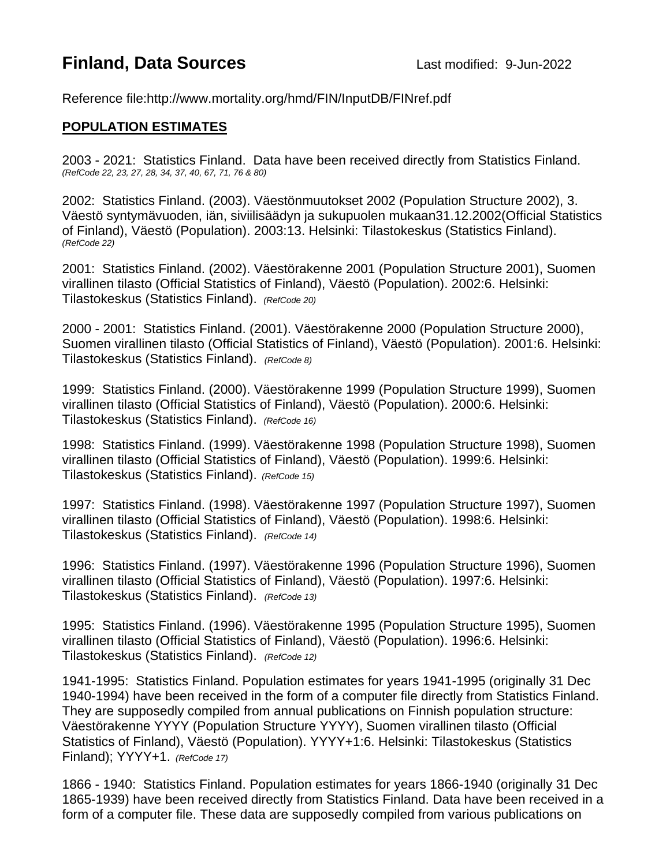## **Finland, Data Sources** Last modified: 9-Jun-2022

Reference file:http://www.mortality.org/hmd/FIN/InputDB/FINref.pdf

## **POPULATION ESTIMATES**

2003 - 2021: Statistics Finland. Data have been received directly from Statistics Finland. *(RefCode 22, 23, 27, 28, 34, 37, 40, 67, 71, 76 & 80)*

2002: Statistics Finland. (2003). Väestönmuutokset 2002 (Population Structure 2002), 3. Väestö syntymävuoden, iän, siviilisäädyn ja sukupuolen mukaan31.12.2002(Official Statistics of Finland), Väestö (Population). 2003:13. Helsinki: Tilastokeskus (Statistics Finland). *(RefCode 22)*

2001: Statistics Finland. (2002). Väestörakenne 2001 (Population Structure 2001), Suomen virallinen tilasto (Official Statistics of Finland), Väestö (Population). 2002:6. Helsinki: Tilastokeskus (Statistics Finland). *(RefCode 20)*

2000 - 2001: Statistics Finland. (2001). Väestörakenne 2000 (Population Structure 2000), Suomen virallinen tilasto (Official Statistics of Finland), Väestö (Population). 2001:6. Helsinki: Tilastokeskus (Statistics Finland). *(RefCode 8)*

1999: Statistics Finland. (2000). Väestörakenne 1999 (Population Structure 1999), Suomen virallinen tilasto (Official Statistics of Finland), Väestö (Population). 2000:6. Helsinki: Tilastokeskus (Statistics Finland). *(RefCode 16)*

1998: Statistics Finland. (1999). Väestörakenne 1998 (Population Structure 1998), Suomen virallinen tilasto (Official Statistics of Finland), Väestö (Population). 1999:6. Helsinki: Tilastokeskus (Statistics Finland). *(RefCode 15)*

1997: Statistics Finland. (1998). Väestörakenne 1997 (Population Structure 1997), Suomen virallinen tilasto (Official Statistics of Finland), Väestö (Population). 1998:6. Helsinki: Tilastokeskus (Statistics Finland). *(RefCode 14)*

1996: Statistics Finland. (1997). Väestörakenne 1996 (Population Structure 1996), Suomen virallinen tilasto (Official Statistics of Finland), Väestö (Population). 1997:6. Helsinki: Tilastokeskus (Statistics Finland). *(RefCode 13)*

1995: Statistics Finland. (1996). Väestörakenne 1995 (Population Structure 1995), Suomen virallinen tilasto (Official Statistics of Finland), Väestö (Population). 1996:6. Helsinki: Tilastokeskus (Statistics Finland). *(RefCode 12)*

1941-1995: Statistics Finland. Population estimates for years 1941-1995 (originally 31 Dec 1940-1994) have been received in the form of a computer file directly from Statistics Finland. They are supposedly compiled from annual publications on Finnish population structure: Väestörakenne YYYY (Population Structure YYYY), Suomen virallinen tilasto (Official Statistics of Finland), Väestö (Population). YYYY+1:6. Helsinki: Tilastokeskus (Statistics Finland); YYYY+1. *(RefCode 17)*

1866 - 1940: Statistics Finland. Population estimates for years 1866-1940 (originally 31 Dec 1865-1939) have been received directly from Statistics Finland. Data have been received in a form of a computer file. These data are supposedly compiled from various publications on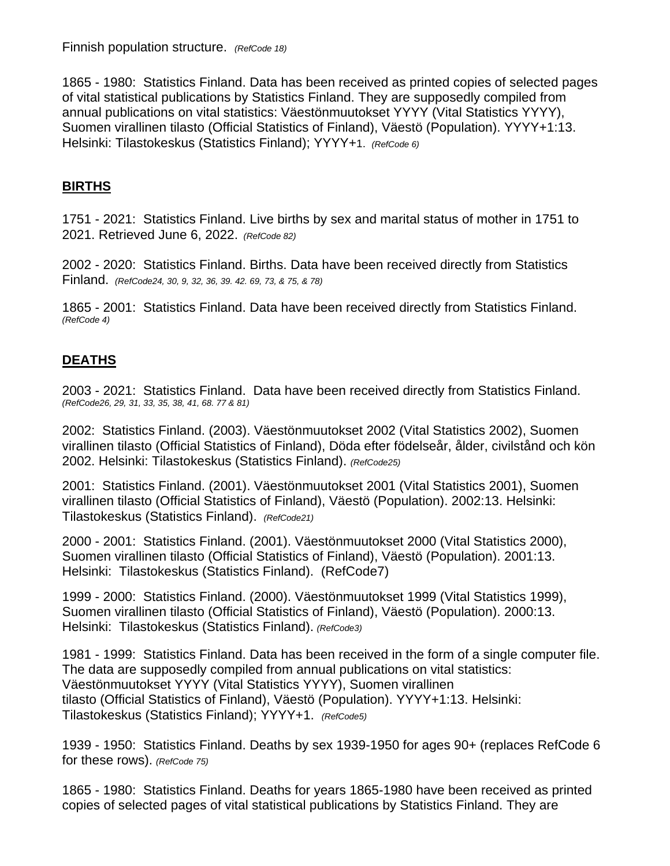1865 - 1980: Statistics Finland. Data has been received as printed copies of selected pages of vital statistical publications by Statistics Finland. They are supposedly compiled from annual publications on vital statistics: Väestönmuutokset YYYY (Vital Statistics YYYY), Suomen virallinen tilasto (Official Statistics of Finland), Väestö (Population). YYYY+1:13. Helsinki: Tilastokeskus (Statistics Finland); YYYY+1. *(RefCode 6)*

## **BIRTHS**

1751 - 2021: Statistics Finland. Live births by sex and marital status of mother in 1751 to 2021. Retrieved June 6, 2022. *(RefCode 82)*

2002 - 2020: Statistics Finland. Births. Data have been received directly from Statistics Finland. *(RefCode24, 30, 9, 32, 36, 39. 42. 69, 73, & 75, & 78)*

1865 - 2001: Statistics Finland. Data have been received directly from Statistics Finland. *(RefCode 4)*

## **DEATHS**

2003 - 2021: Statistics Finland. Data have been received directly from Statistics Finland. *(RefCode26, 29, 31, 33, 35, 38, 41, 68. 77 & 81)*

2002: Statistics Finland. (2003). Väestönmuutokset 2002 (Vital Statistics 2002), Suomen virallinen tilasto (Official Statistics of Finland), Döda efter födelseår, ålder, civilstånd och kön 2002. Helsinki: Tilastokeskus (Statistics Finland). *(RefCode25)*

2001: Statistics Finland. (2001). Väestönmuutokset 2001 (Vital Statistics 2001), Suomen virallinen tilasto (Official Statistics of Finland), Väestö (Population). 2002:13. Helsinki: Tilastokeskus (Statistics Finland). *(RefCode21)*

2000 - 2001: Statistics Finland. (2001). Väestönmuutokset 2000 (Vital Statistics 2000), Suomen virallinen tilasto (Official Statistics of Finland), Väestö (Population). 2001:13. Helsinki: Tilastokeskus (Statistics Finland). (RefCode7)

1999 - 2000: Statistics Finland. (2000). Väestönmuutokset 1999 (Vital Statistics 1999), Suomen virallinen tilasto (Official Statistics of Finland), Väestö (Population). 2000:13. Helsinki: Tilastokeskus (Statistics Finland). *(RefCode3)*

1981 - 1999: Statistics Finland. Data has been received in the form of a single computer file. The data are supposedly compiled from annual publications on vital statistics: Väestönmuutokset YYYY (Vital Statistics YYYY), Suomen virallinen tilasto (Official Statistics of Finland), Väestö (Population). YYYY+1:13. Helsinki: Tilastokeskus (Statistics Finland); YYYY+1. *(RefCode5)*

1939 - 1950: Statistics Finland. Deaths by sex 1939-1950 for ages 90+ (replaces RefCode 6 for these rows). *(RefCode 75)*

1865 - 1980: Statistics Finland. Deaths for years 1865-1980 have been received as printed copies of selected pages of vital statistical publications by Statistics Finland. They are